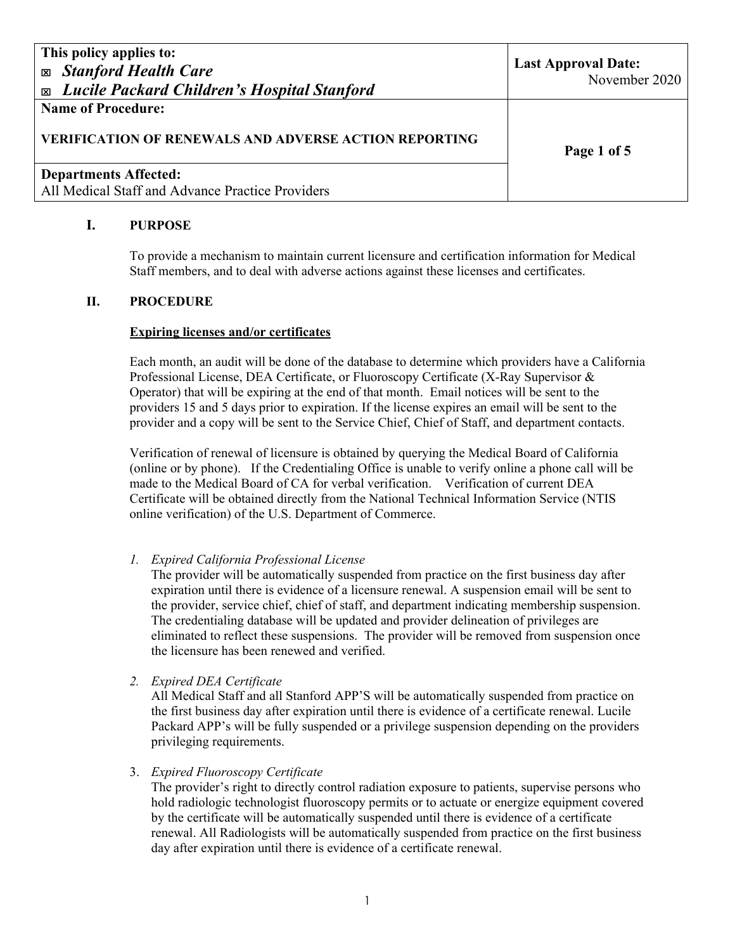| This policy applies to:<br><b>Exp. Stanford Health Care</b><br><b>Exable 21 Lucile Packard Children's Hospital Stanford</b> | <b>Last Approval Date:</b><br>November 2020 |
|-----------------------------------------------------------------------------------------------------------------------------|---------------------------------------------|
| <b>Name of Procedure:</b><br><b>VERIFICATION OF RENEWALS AND ADVERSE ACTION REPORTING</b>                                   | Page 1 of 5                                 |
| <b>Departments Affected:</b><br>All Medical Staff and Advance Practice Providers                                            |                                             |

### **I. PURPOSE**

To provide a mechanism to maintain current licensure and certification information for Medical Staff members, and to deal with adverse actions against these licenses and certificates.

### **II. PROCEDURE**

#### **Expiring licenses and/or certificates**

Each month, an audit will be done of the database to determine which providers have a California Professional License, DEA Certificate, or Fluoroscopy Certificate (X-Ray Supervisor & Operator) that will be expiring at the end of that month. Email notices will be sent to the providers 15 and 5 days prior to expiration. If the license expires an email will be sent to the provider and a copy will be sent to the Service Chief, Chief of Staff, and department contacts.

Verification of renewal of licensure is obtained by querying the Medical Board of California (online or by phone). If the Credentialing Office is unable to verify online a phone call will be made to the Medical Board of CA for verbal verification. Verification of current DEA Certificate will be obtained directly from the National Technical Information Service (NTIS online verification) of the U.S. Department of Commerce.

*1. Expired California Professional License* 

The provider will be automatically suspended from practice on the first business day after expiration until there is evidence of a licensure renewal. A suspension email will be sent to the provider, service chief, chief of staff, and department indicating membership suspension. The credentialing database will be updated and provider delineation of privileges are eliminated to reflect these suspensions. The provider will be removed from suspension once the licensure has been renewed and verified.

*2. Expired DEA Certificate* 

All Medical Staff and all Stanford APP'S will be automatically suspended from practice on the first business day after expiration until there is evidence of a certificate renewal. Lucile Packard APP's will be fully suspended or a privilege suspension depending on the providers privileging requirements.

3. *Expired Fluoroscopy Certificate* 

The provider's right to directly control radiation exposure to patients, supervise persons who hold radiologic technologist fluoroscopy permits or to actuate or energize equipment covered by the certificate will be automatically suspended until there is evidence of a certificate renewal. All Radiologists will be automatically suspended from practice on the first business day after expiration until there is evidence of a certificate renewal.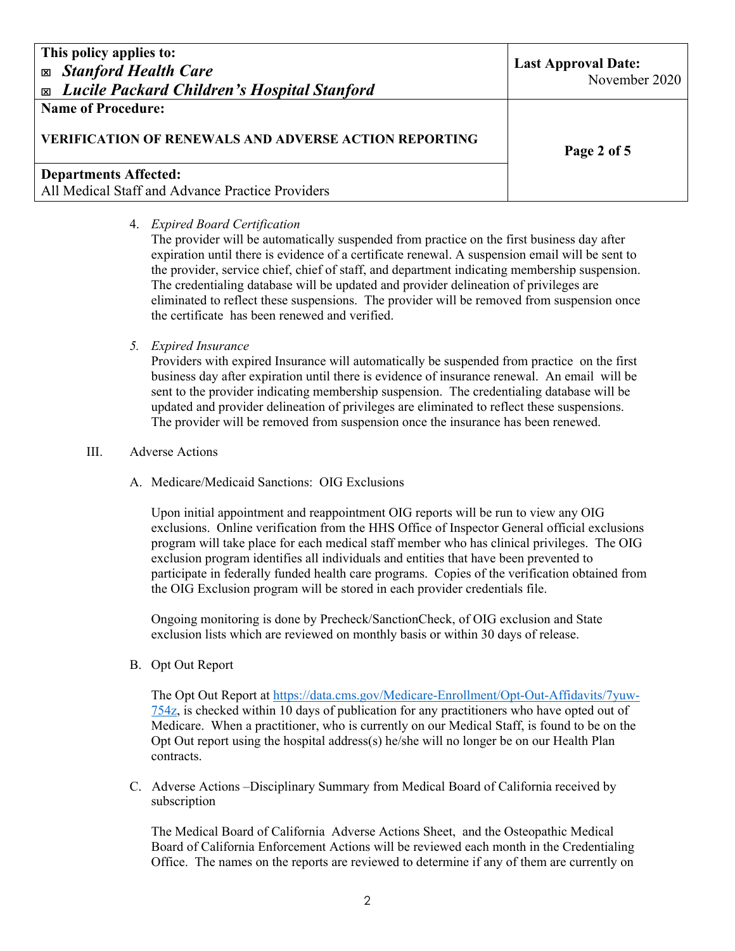**Name of Procedure:** 

### **VERIFICATION OF RENEWALS AND ADVERSE ACTION REPORTING**

### **Departments Affected:**  All Medical Staff and Advance Practice Providers

**Page 2 of 5** 

### 4. *Expired Board Certification*

The provider will be automatically suspended from practice on the first business day after expiration until there is evidence of a certificate renewal. A suspension email will be sent to the provider, service chief, chief of staff, and department indicating membership suspension. The credentialing database will be updated and provider delineation of privileges are eliminated to reflect these suspensions. The provider will be removed from suspension once the certificate has been renewed and verified.

### *5. Expired Insurance*

Providers with expired Insurance will automatically be suspended from practice on the first business day after expiration until there is evidence of insurance renewal. An email will be sent to the provider indicating membership suspension. The credentialing database will be updated and provider delineation of privileges are eliminated to reflect these suspensions. The provider will be removed from suspension once the insurance has been renewed.

### III. Adverse Actions

A. Medicare/Medicaid Sanctions: OIG Exclusions

Upon initial appointment and reappointment OIG reports will be run to view any OIG exclusions. Online verification from the HHS Office of Inspector General official exclusions program will take place for each medical staff member who has clinical privileges. The OIG exclusion program identifies all individuals and entities that have been prevented to participate in federally funded health care programs. Copies of the verification obtained from the OIG Exclusion program will be stored in each provider credentials file.

Ongoing monitoring is done by Precheck/SanctionCheck, of OIG exclusion and State exclusion lists which are reviewed on monthly basis or within 30 days of release.

B. Opt Out Report

 The Opt Out Report at https://data.cms.gov/Medicare-Enrollment/Opt-Out-Affidavits/7yuw-754z, is checked within 10 days of publication for any practitioners who have opted out of Medicare. When a practitioner, who is currently on our Medical Staff, is found to be on the Opt Out report using the hospital address(s) he/she will no longer be on our Health Plan contracts.

C. Adverse Actions –Disciplinary Summary from Medical Board of California received by subscription

The Medical Board of California Adverse Actions Sheet, and the Osteopathic Medical Board of California Enforcement Actions will be reviewed each month in the Credentialing Office. The names on the reports are reviewed to determine if any of them are currently on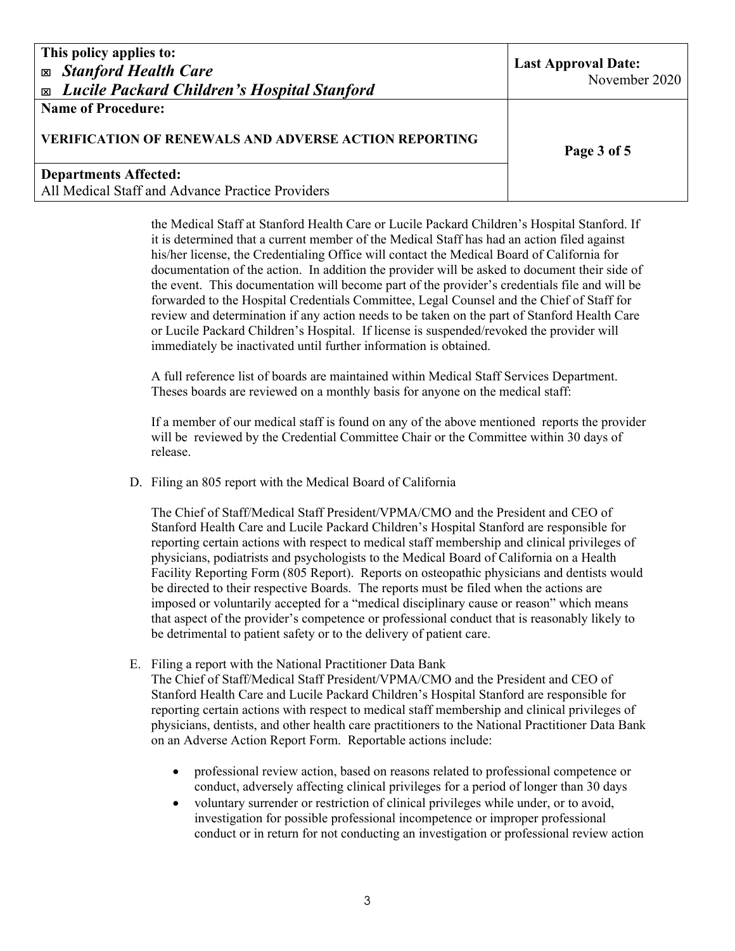**Name of Procedure:** 

### **VERIFICATION OF RENEWALS AND ADVERSE ACTION REPORTING**

# **Departments Affected:**

All Medical Staff and Advance Practice Providers

**Page 3 of 5** 

the Medical Staff at Stanford Health Care or Lucile Packard Children's Hospital Stanford. If it is determined that a current member of the Medical Staff has had an action filed against his/her license, the Credentialing Office will contact the Medical Board of California for documentation of the action. In addition the provider will be asked to document their side of the event. This documentation will become part of the provider's credentials file and will be forwarded to the Hospital Credentials Committee, Legal Counsel and the Chief of Staff for review and determination if any action needs to be taken on the part of Stanford Health Care or Lucile Packard Children's Hospital. If license is suspended/revoked the provider will immediately be inactivated until further information is obtained.

A full reference list of boards are maintained within Medical Staff Services Department. Theses boards are reviewed on a monthly basis for anyone on the medical staff:

If a member of our medical staff is found on any of the above mentioned reports the provider will be reviewed by the Credential Committee Chair or the Committee within 30 days of release.

D. Filing an 805 report with the Medical Board of California

The Chief of Staff/Medical Staff President/VPMA/CMO and the President and CEO of Stanford Health Care and Lucile Packard Children's Hospital Stanford are responsible for reporting certain actions with respect to medical staff membership and clinical privileges of physicians, podiatrists and psychologists to the Medical Board of California on a Health Facility Reporting Form (805 Report). Reports on osteopathic physicians and dentists would be directed to their respective Boards. The reports must be filed when the actions are imposed or voluntarily accepted for a "medical disciplinary cause or reason" which means that aspect of the provider's competence or professional conduct that is reasonably likely to be detrimental to patient safety or to the delivery of patient care.

E. Filing a report with the National Practitioner Data Bank

The Chief of Staff/Medical Staff President/VPMA/CMO and the President and CEO of Stanford Health Care and Lucile Packard Children's Hospital Stanford are responsible for reporting certain actions with respect to medical staff membership and clinical privileges of physicians, dentists, and other health care practitioners to the National Practitioner Data Bank on an Adverse Action Report Form. Reportable actions include:

- professional review action, based on reasons related to professional competence or conduct, adversely affecting clinical privileges for a period of longer than 30 days
- voluntary surrender or restriction of clinical privileges while under, or to avoid, investigation for possible professional incompetence or improper professional conduct or in return for not conducting an investigation or professional review action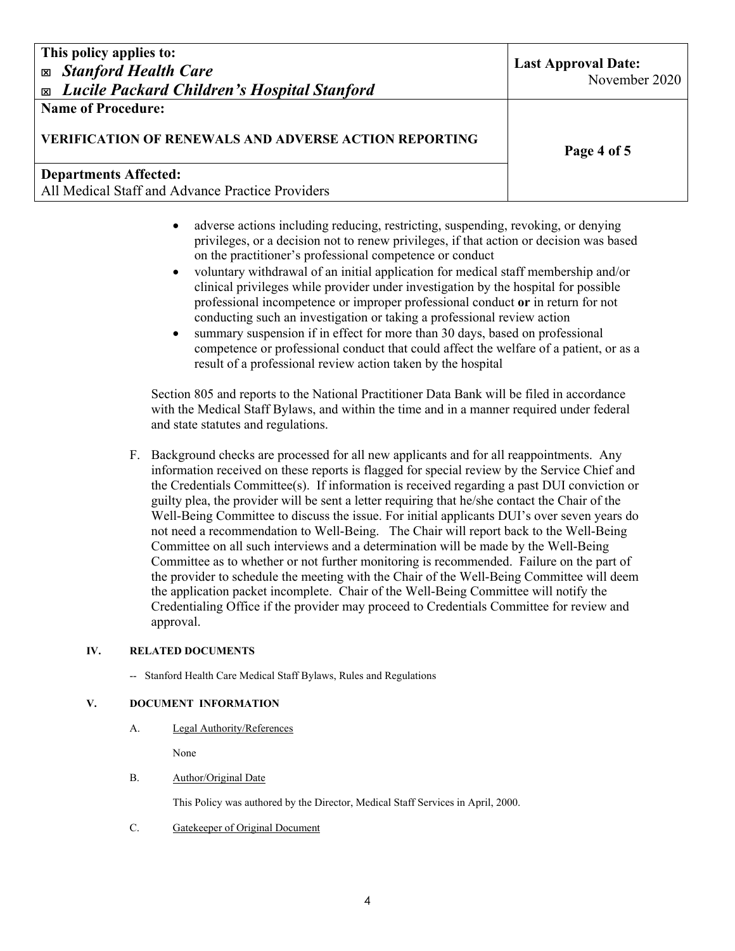**Name of Procedure:** 

## **VERIFICATION OF RENEWALS AND ADVERSE ACTION REPORTING**

### **Departments Affected:**  All Medical Staff and Advance Practice Providers

**Page 4 of 5** 

- adverse actions including reducing, restricting, suspending, revoking, or denying privileges, or a decision not to renew privileges, if that action or decision was based on the practitioner's professional competence or conduct
- voluntary withdrawal of an initial application for medical staff membership and/or clinical privileges while provider under investigation by the hospital for possible professional incompetence or improper professional conduct **or** in return for not conducting such an investigation or taking a professional review action
- summary suspension if in effect for more than 30 days, based on professional competence or professional conduct that could affect the welfare of a patient, or as a result of a professional review action taken by the hospital

Section 805 and reports to the National Practitioner Data Bank will be filed in accordance with the Medical Staff Bylaws, and within the time and in a manner required under federal and state statutes and regulations.

F. Background checks are processed for all new applicants and for all reappointments. Any information received on these reports is flagged for special review by the Service Chief and the Credentials Committee(s). If information is received regarding a past DUI conviction or guilty plea, the provider will be sent a letter requiring that he/she contact the Chair of the Well-Being Committee to discuss the issue. For initial applicants DUI's over seven years do not need a recommendation to Well-Being. The Chair will report back to the Well-Being Committee on all such interviews and a determination will be made by the Well-Being Committee as to whether or not further monitoring is recommended. Failure on the part of the provider to schedule the meeting with the Chair of the Well-Being Committee will deem the application packet incomplete. Chair of the Well-Being Committee will notify the Credentialing Office if the provider may proceed to Credentials Committee for review and approval.

### **IV. RELATED DOCUMENTS**

-- Stanford Health Care Medical Staff Bylaws, Rules and Regulations

#### **V. DOCUMENT INFORMATION**

A. Legal Authority/References

None

B. Author/Original Date

This Policy was authored by the Director, Medical Staff Services in April, 2000.

C. Gatekeeper of Original Document